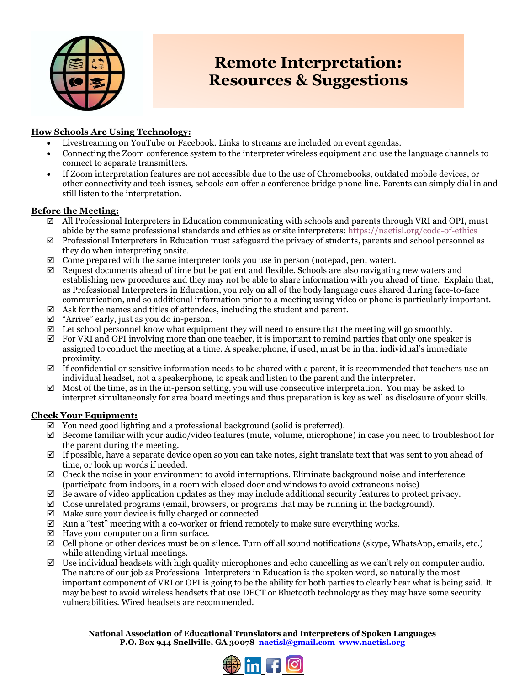

# **Remote Interpretation: Resources & Suggestions**

### **How Schools Are Using Technology:**

- Livestreaming on YouTube or Facebook. Links to streams are included on event agendas.
- Connecting the Zoom conference system to the interpreter wireless equipment and use the language channels to connect to separate transmitters.
- If Zoom interpretation features are not accessible due to the use of Chromebooks, outdated mobile devices, or other connectivity and tech issues, schools can offer a conference bridge phone line. Parents can simply dial in and still listen to the interpretation.

### **Before the Meeting:**

- $\boxtimes$  All Professional Interpreters in Education communicating with schools and parents through VRI and OPI, must abide by the same professional standards and ethics as onsite interpreters: <https://naetisl.org/code-of-ethics>
- $\boxtimes$  Professional Interpreters in Education must safeguard the privacy of students, parents and school personnel as they do when interpreting onsite.
- $\boxtimes$  Come prepared with the same interpreter tools you use in person (notepad, pen, water).
- $\boxtimes$  Request documents ahead of time but be patient and flexible. Schools are also navigating new waters and establishing new procedures and they may not be able to share information with you ahead of time. Explain that, as Professional Interpreters in Education, you rely on all of the body language cues shared during face-to-face communication, and so additional information prior to a meeting using video or phone is particularly important.
- $\boxtimes$  Ask for the names and titles of attendees, including the student and parent.
- $\boxtimes$  "Arrive" early, just as you do in-person.
- $\boxtimes$  Let school personnel know what equipment they will need to ensure that the meeting will go smoothly.
- $\boxtimes$  For VRI and OPI involving more than one teacher, it is important to remind parties that only one speaker is assigned to conduct the meeting at a time. A speakerphone, if used, must be in that individual's immediate proximity.
- $\boxtimes$  If confidential or sensitive information needs to be shared with a parent, it is recommended that teachers use an individual headset, not a speakerphone, to speak and listen to the parent and the interpreter.
- $\boxtimes$  Most of the time, as in the in-person setting, you will use consecutive interpretation. You may be asked to interpret simultaneously for area board meetings and thus preparation is key as well as disclosure of your skills.

#### **Check Your Equipment:**

- $\boxtimes$  You need good lighting and a professional background (solid is preferred).
- $\boxtimes$  Become familiar with your audio/video features (mute, volume, microphone) in case you need to troubleshoot for the parent during the meeting.
- $\boxtimes$  If possible, have a separate device open so you can take notes, sight translate text that was sent to you ahead of time, or look up words if needed.
- $\boxtimes$  Check the noise in your environment to avoid interruptions. Eliminate background noise and interference (participate from indoors, in a room with closed door and windows to avoid extraneous noise)
- $\boxtimes$  Be aware of video application updates as they may include additional security features to protect privacy.
- $\boxtimes$  Close unrelated programs (email, browsers, or programs that may be running in the background).
- $\boxtimes$  Make sure your device is fully charged or connected.
- $\boxtimes$  Run a "test" meeting with a co-worker or friend remotely to make sure everything works.
- $\boxtimes$  Have your computer on a firm surface.
- $\boxtimes$  Cell phone or other devices must be on silence. Turn off all sound notifications (skype, WhatsApp, emails, etc.) while attending virtual meetings.
- $\boxtimes$  Use individual headsets with high quality microphones and echo cancelling as we can't rely on computer audio. The nature of our job as Professional Interpreters in Education is the spoken word, so naturally the most important component of VRI or OPI is going to be the ability for both parties to clearly hear what is being said. It may be best to avoid wireless headsets that use DECT or Bluetooth technology as they may have some security vulnerabilities. Wired headsets are recommended.

**National Association of Educational Translators and Interpreters of Spoken Languages P.O. Box 944 Snellville, GA 30078 [naetisl@gmail.com](mailto:naetisl@gmail.com) [www.naetisl.org](http://www.naetisl.org/)**